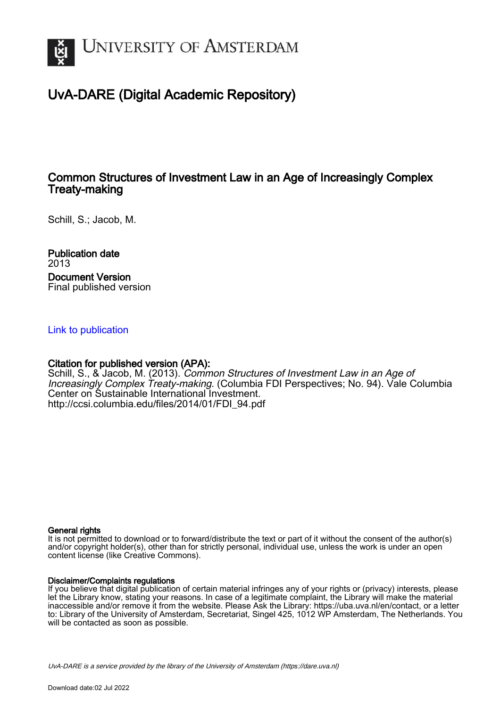

# UvA-DARE (Digital Academic Repository)

## Common Structures of Investment Law in an Age of Increasingly Complex Treaty-making

Schill, S.; Jacob, M.

Publication date 2013 Document Version Final published version

## [Link to publication](https://dare.uva.nl/personal/pure/en/publications/common-structures-of-investment-law-in-an-age-of-increasingly-complex-treatymaking(bc507551-4d7a-4d91-ae02-9a45a4acdef2).html)

## Citation for published version (APA):

Schill, S., & Jacob, M. (2013). Common Structures of Investment Law in an Age of Increasingly Complex Treaty-making. (Columbia FDI Perspectives; No. 94). Vale Columbia Center on Sustainable International Investment. [http://ccsi.columbia.edu/files/2014/01/FDI\\_94.pdf](http://ccsi.columbia.edu/files/2014/01/FDI_94.pdf)

#### General rights

It is not permitted to download or to forward/distribute the text or part of it without the consent of the author(s) and/or copyright holder(s), other than for strictly personal, individual use, unless the work is under an open content license (like Creative Commons).

#### Disclaimer/Complaints regulations

If you believe that digital publication of certain material infringes any of your rights or (privacy) interests, please let the Library know, stating your reasons. In case of a legitimate complaint, the Library will make the material inaccessible and/or remove it from the website. Please Ask the Library: https://uba.uva.nl/en/contact, or a letter to: Library of the University of Amsterdam, Secretariat, Singel 425, 1012 WP Amsterdam, The Netherlands. You will be contacted as soon as possible.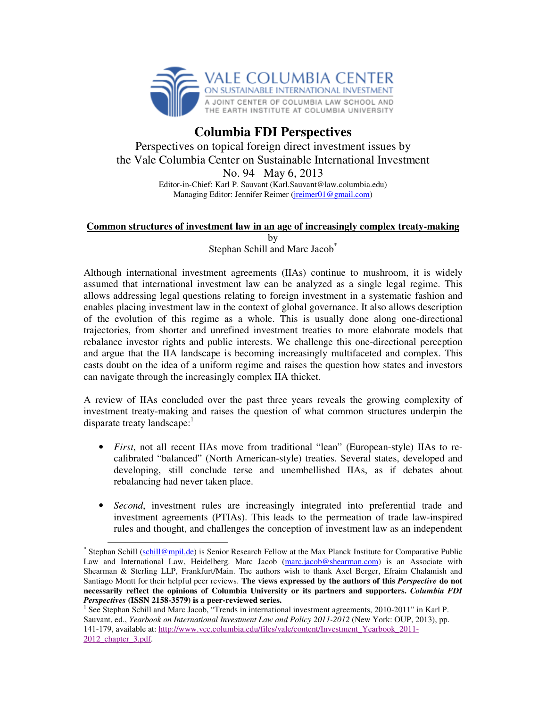

## **Columbia FDI Perspectives**  Perspectives on topical foreign direct investment issues by the Vale Columbia Center on Sustainable International Investment No. 94 May 6, 2013 Editor-in-Chief: Karl P. Sauvant (Karl.Sauvant@law.columbia.edu) Managing Editor: Jennifer Reimer (jreimer01@gmail.com)

### **Common structures of investment law in an age of increasingly complex treaty-making**

by

Stephan Schill and Marc Jacob<sup>\*</sup>

Although international investment agreements (IIAs) continue to mushroom, it is widely assumed that international investment law can be analyzed as a single legal regime. This allows addressing legal questions relating to foreign investment in a systematic fashion and enables placing investment law in the context of global governance. It also allows description of the evolution of this regime as a whole. This is usually done along one-directional trajectories, from shorter and unrefined investment treaties to more elaborate models that rebalance investor rights and public interests. We challenge this one-directional perception and argue that the IIA landscape is becoming increasingly multifaceted and complex. This casts doubt on the idea of a uniform regime and raises the question how states and investors can navigate through the increasingly complex IIA thicket.

A review of IIAs concluded over the past three years reveals the growing complexity of investment treaty-making and raises the question of what common structures underpin the disparate treaty landscape: $<sup>1</sup>$ </sup>

- *First*, not all recent IIAs move from traditional "lean" (European-style) IIAs to recalibrated "balanced" (North American-style) treaties. Several states, developed and developing, still conclude terse and unembellished IIAs, as if debates about rebalancing had never taken place.
- *Second*, investment rules are increasingly integrated into preferential trade and investment agreements (PTIAs). This leads to the permeation of trade law-inspired rules and thought, and challenges the conception of investment law as an independent

<sup>-</sup>\* Stephan Schill (schill@mpil.de) is Senior Research Fellow at the Max Planck Institute for Comparative Public Law and International Law, Heidelberg. Marc Jacob (marc.jacob@shearman.com) is an Associate with Shearman & Sterling LLP, Frankfurt/Main. The authors wish to thank Axel Berger, Efraim Chalamish and Santiago Montt for their helpful peer reviews. **The views expressed by the authors of this** *Perspective* **do not necessarily reflect the opinions of Columbia University or its partners and supporters.** *Columbia FDI Perspectives* **(ISSN 2158-3579) is a peer-reviewed series.**

<sup>&</sup>lt;sup>1</sup> See Stephan Schill and Marc Jacob, "Trends in international investment agreements, 2010-2011" in Karl P. Sauvant, ed., *Yearbook on International Investment Law and Policy 2011-2012* (New York: OUP, 2013), pp. 141-179, available at: http://www.vcc.columbia.edu/files/vale/content/Investment\_Yearbook\_2011- 2012\_chapter\_3.pdf.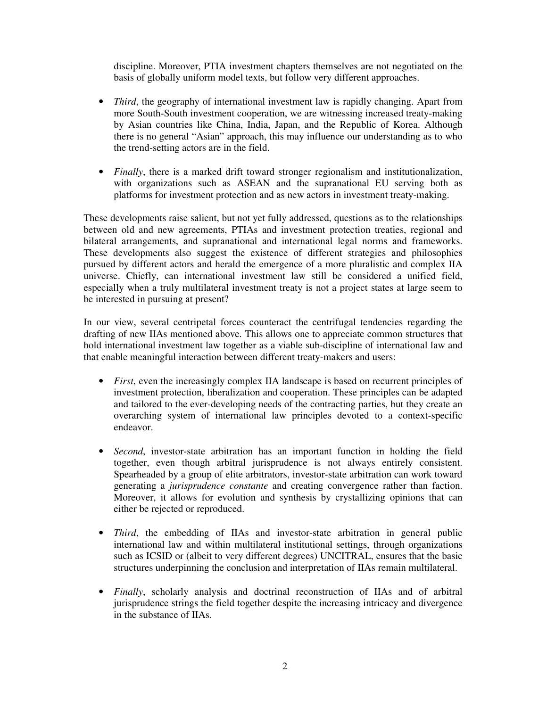discipline. Moreover, PTIA investment chapters themselves are not negotiated on the basis of globally uniform model texts, but follow very different approaches.

- *Third*, the geography of international investment law is rapidly changing. Apart from more South-South investment cooperation, we are witnessing increased treaty-making by Asian countries like China, India, Japan, and the Republic of Korea. Although there is no general "Asian" approach, this may influence our understanding as to who the trend-setting actors are in the field.
- *Finally*, there is a marked drift toward stronger regionalism and institutionalization, with organizations such as ASEAN and the supranational EU serving both as platforms for investment protection and as new actors in investment treaty-making.

These developments raise salient, but not yet fully addressed, questions as to the relationships between old and new agreements, PTIAs and investment protection treaties, regional and bilateral arrangements, and supranational and international legal norms and frameworks. These developments also suggest the existence of different strategies and philosophies pursued by different actors and herald the emergence of a more pluralistic and complex IIA universe. Chiefly, can international investment law still be considered a unified field, especially when a truly multilateral investment treaty is not a project states at large seem to be interested in pursuing at present?

In our view, several centripetal forces counteract the centrifugal tendencies regarding the drafting of new IIAs mentioned above. This allows one to appreciate common structures that hold international investment law together as a viable sub-discipline of international law and that enable meaningful interaction between different treaty-makers and users:

- *First*, even the increasingly complex IIA landscape is based on recurrent principles of investment protection, liberalization and cooperation. These principles can be adapted and tailored to the ever-developing needs of the contracting parties, but they create an overarching system of international law principles devoted to a context-specific endeavor.
- *Second*, investor-state arbitration has an important function in holding the field together, even though arbitral jurisprudence is not always entirely consistent. Spearheaded by a group of elite arbitrators, investor-state arbitration can work toward generating a *jurisprudence constante* and creating convergence rather than faction. Moreover, it allows for evolution and synthesis by crystallizing opinions that can either be rejected or reproduced.
- *Third*, the embedding of IIAs and investor-state arbitration in general public international law and within multilateral institutional settings, through organizations such as ICSID or (albeit to very different degrees) UNCITRAL, ensures that the basic structures underpinning the conclusion and interpretation of IIAs remain multilateral.
- *Finally*, scholarly analysis and doctrinal reconstruction of IIAs and of arbitral jurisprudence strings the field together despite the increasing intricacy and divergence in the substance of IIAs.